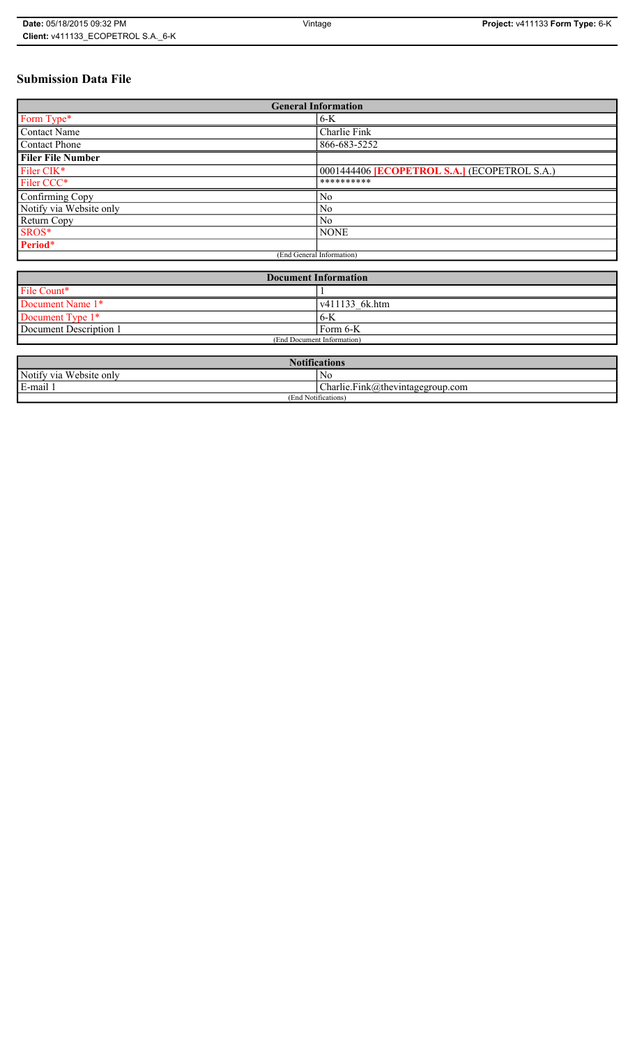# **Submission Data File**

| <b>General Information</b> |                                                   |
|----------------------------|---------------------------------------------------|
| Form Type*                 | $6-K$                                             |
| <b>Contact Name</b>        | Charlie Fink                                      |
| <b>Contact Phone</b>       | 866-683-5252                                      |
| <b>Filer File Number</b>   |                                                   |
| Filer CIK*                 | 0001444406 <b>ECOPETROL S.A.</b> (ECOPETROL S.A.) |
| Filer CCC*                 | **********                                        |
| Confirming Copy            | No                                                |
| Notify via Website only    | No                                                |
| Return Copy                | N <sub>0</sub>                                    |
| SROS*                      | <b>NONE</b>                                       |
| Period*                    |                                                   |
| (End General Information)  |                                                   |

| <b>Document Information</b> |                        |
|-----------------------------|------------------------|
| File Count*                 |                        |
| Document Name 1*            | $\sqrt{411133}$ 6k.htm |
| Document Type 1*            | 6-K                    |
| Document Description 1      | Form 6-K               |
| (End Document Information)  |                        |

| <b>Notifications</b>            |                                  |
|---------------------------------|----------------------------------|
| Notify via Website only         | No                               |
| E-mail                          | Charlie.Fink@thevintagegroup.com |
| $\cdots$<br>(End Notifications) |                                  |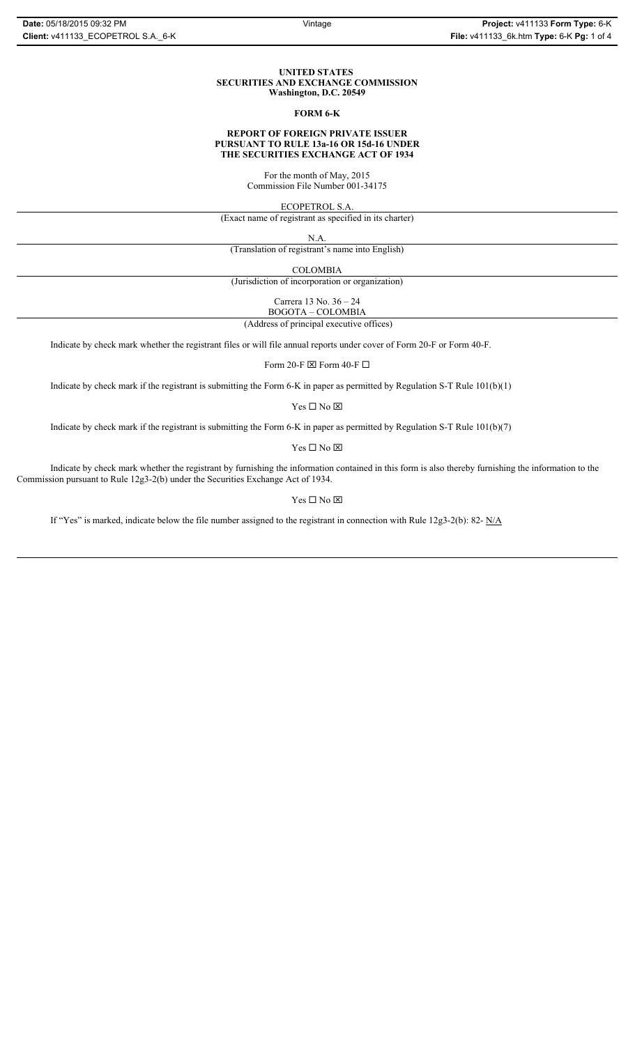#### **UNITED STATES SECURITIES AND EXCHANGE COMMISSION Washington, D.C. 20549**

#### **FORM 6-K**

#### **REPORT OF FOREIGN PRIVATE ISSUER PURSUANT TO RULE 13a-16 OR 15d-16 UNDER THE SECURITIES EXCHANGE ACT OF 1934**

For the month of May, 2015 Commission File Number 001-34175

ECOPETROL S.A.

(Exact name of registrant as specified in its charter)

N.A.

(Translation of registrant's name into English)

COLOMBIA

(Jurisdiction of incorporation or organization)

Carrera 13 No. 36 – 24

 (Address of principal executive offices) BOGOTA – COLOMBIA

Indicate by check mark whether the registrant files or will file annual reports under cover of Form 20-F or Form 40-F.

Form 20-F  $\boxtimes$  Form 40-F  $\Box$ 

Indicate by check mark if the registrant is submitting the Form 6-K in paper as permitted by Regulation S-T Rule 101(b)(1)

 $Yes \Box No \boxtimes$ 

Indicate by check mark if the registrant is submitting the Form 6-K in paper as permitted by Regulation S-T Rule 101(b)(7)

 $\mathbf{Y}\mathbf{es} \ \Box \ \mathbf{No} \ \overline{\mathbf{\mathbf{\boxtimes}}}$ 

Indicate by check mark whether the registrant by furnishing the information contained in this form is also thereby furnishing the information to the Commission pursuant to Rule 12g3-2(b) under the Securities Exchange Act of 1934.

 $Yes \Box No \boxtimes$ 

If "Yes" is marked, indicate below the file number assigned to the registrant in connection with Rule 12g3-2(b): 82-  $N/A$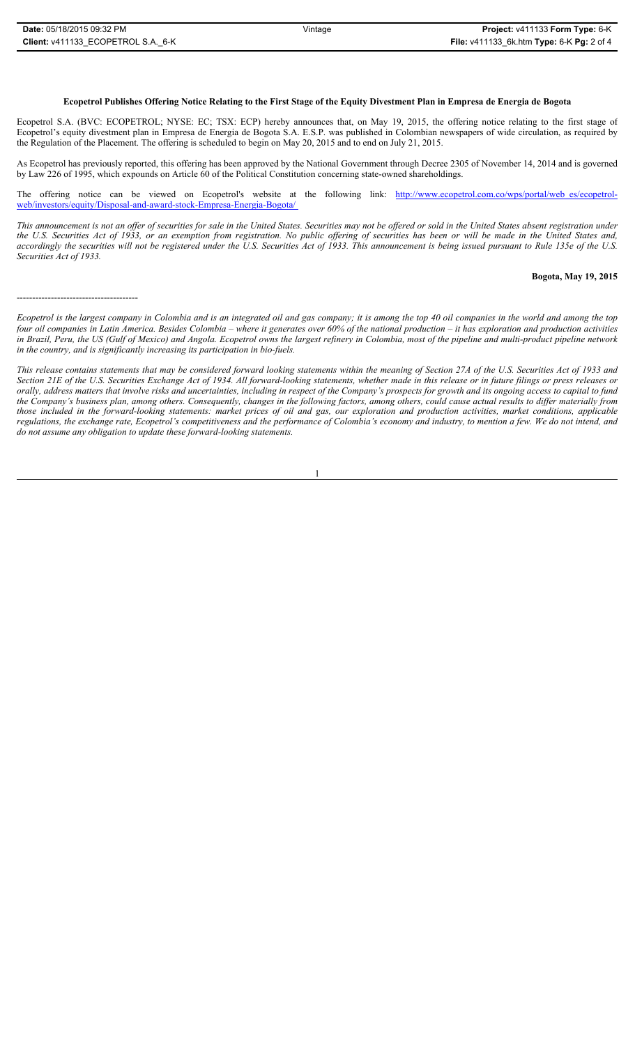---------------------------------------

#### **Ecopetrol Publishes Offering Notice Relating to the First Stage of the Equity Divestment Plan in Empresa de Energia de Bogota**

Ecopetrol S.A. (BVC: ECOPETROL; NYSE: EC; TSX: ECP) hereby announces that, on May 19, 2015, the offering notice relating to the first stage of Ecopetrol's equity divestment plan in Empresa de Energia de Bogota S.A. E.S.P. was published in Colombian newspapers of wide circulation, as required by the Regulation of the Placement. The offering is scheduled to begin on May 20, 2015 and to end on July 21, 2015.

As Ecopetrol has previously reported, this offering has been approved by the National Government through Decree 2305 of November 14, 2014 and is governed by Law 226 of 1995, which expounds on Article 60 of the Political Constitution concerning state-owned shareholdings.

The offering notice can be viewed on Ecopetrol's website at the following link: http://www.ecopetrol.com.co/wps/portal/web\_es/ecopetrolweb/investors/equity/Disposal-and-award-stock-Empresa-Energia-Bogota/

*This announcement is not an offer of securities for sale in the United States. Securities may not be offered or sold in the United States absent registration under the U.S. Securities Act of 1933, or an exemption from registration. No public offering of securities has been or will be made in the United States and, accordingly the securities will not be registered under the U.S. Securities Act of 1933. This announcement is being issued pursuant to Rule 135e of the U.S. Securities Act of 1933.*

#### **Bogota, May 19, 2015**

*Ecopetrol is the largest company in Colombia and is an integrated oil and gas company; it is among the top 40 oil companies in the world and among the top four oil companies in Latin America. Besides Colombia – where it generates over 60% of the national production – it has exploration and production activities in Brazil, Peru, the US (Gulf of Mexico) and Angola. Ecopetrol owns the largest refinery in Colombia, most of the pipeline and multi-product pipeline network in the country, and is significantly increasing its participation in bio-fuels.* 

*This release contains statements that may be considered forward looking statements within the meaning of Section 27A of the U.S. Securities Act of 1933 and Section 21E of the U.S. Securities Exchange Act of 1934. All forward-looking statements, whether made in this release or in future filings or press releases or orally, address matters that involve risks and uncertainties, including in respect of the Company's prospects for growth and its ongoing access to capital to fund the Company's business plan, among others. Consequently, changes in the following factors, among others, could cause actual results to differ materially from those included in the forward-looking statements: market prices of oil and gas, our exploration and production activities, market conditions, applicable regulations, the exchange rate, Ecopetrol's competitiveness and the performance of Colombia's economy and industry, to mention a few. We do not intend, and do not assume any obligation to update these forward-looking statements.*

1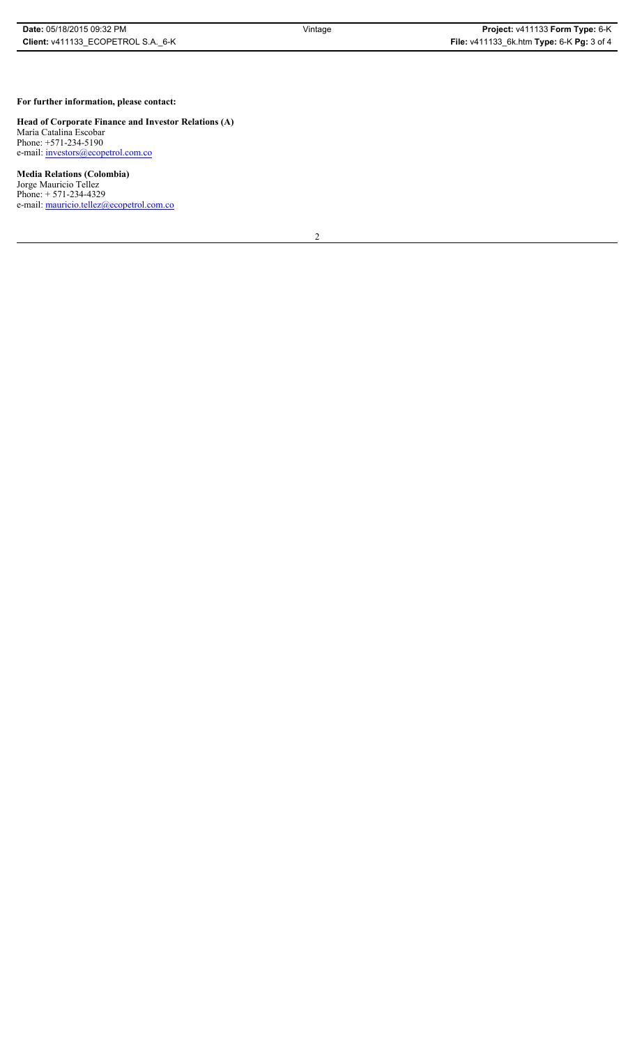## **For further information, please contact:**

**Head of Corporate Finance and Investor Relations (A)** María Catalina Escobar Phone: +571-234-5190 e-mail: investors@ecopetrol.com.co

### **Media Relations (Colombia)**

Jorge Mauricio Tellez Phone: + 571-234-4329 e-mail: mauricio.tellez@ecopetrol.com.co

2